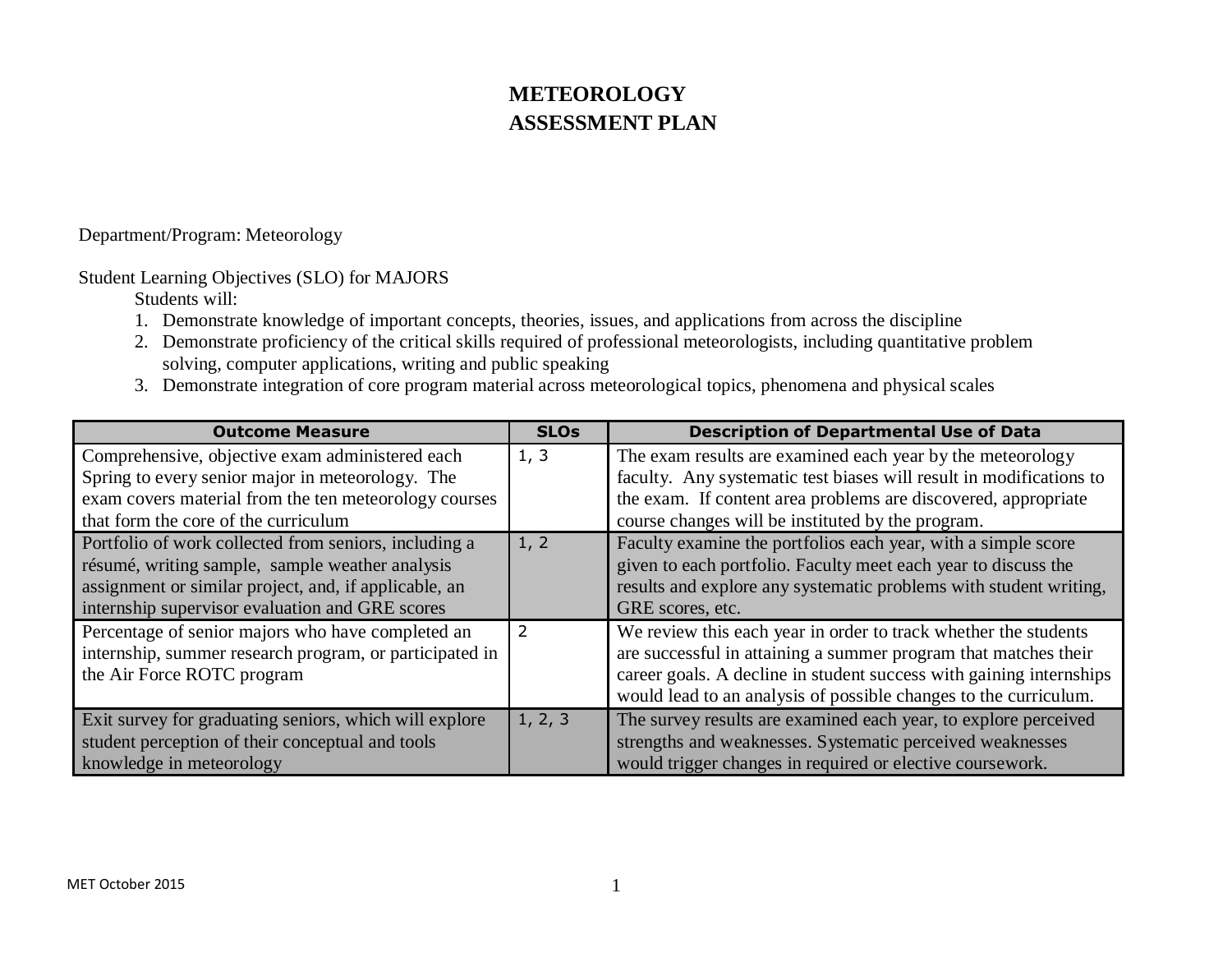# **METEOROLOGY ASSESSMENT PLAN**

Department/Program: Meteorology

Student Learning Objectives (SLO) for MAJORS

Students will:

- 1. Demonstrate knowledge of important concepts, theories, issues, and applications from across the discipline
- 2. Demonstrate proficiency of the critical skills required of professional meteorologists, including quantitative problem solving, computer applications, writing and public speaking
- 3. Demonstrate integration of core program material across meteorological topics, phenomena and physical scales

| <b>Outcome Measure</b>                                  | <b>SLOs</b> | <b>Description of Departmental Use of Data</b>                      |
|---------------------------------------------------------|-------------|---------------------------------------------------------------------|
| Comprehensive, objective exam administered each         | 1, 3        | The exam results are examined each year by the meteorology          |
| Spring to every senior major in meteorology. The        |             | faculty. Any systematic test biases will result in modifications to |
| exam covers material from the ten meteorology courses   |             | the exam. If content area problems are discovered, appropriate      |
| that form the core of the curriculum                    |             | course changes will be instituted by the program.                   |
| Portfolio of work collected from seniors, including a   | 1, 2        | Faculty examine the portfolios each year, with a simple score       |
| résumé, writing sample, sample weather analysis         |             | given to each portfolio. Faculty meet each year to discuss the      |
| assignment or similar project, and, if applicable, an   |             | results and explore any systematic problems with student writing,   |
| internship supervisor evaluation and GRE scores         |             | GRE scores, etc.                                                    |
| Percentage of senior majors who have completed an       | 2           | We review this each year in order to track whether the students     |
| internship, summer research program, or participated in |             | are successful in attaining a summer program that matches their     |
| the Air Force ROTC program                              |             | career goals. A decline in student success with gaining internships |
|                                                         |             | would lead to an analysis of possible changes to the curriculum.    |
| Exit survey for graduating seniors, which will explore  | 1, 2, 3     | The survey results are examined each year, to explore perceived     |
| student perception of their conceptual and tools        |             | strengths and weaknesses. Systematic perceived weaknesses           |
| knowledge in meteorology                                |             | would trigger changes in required or elective coursework.           |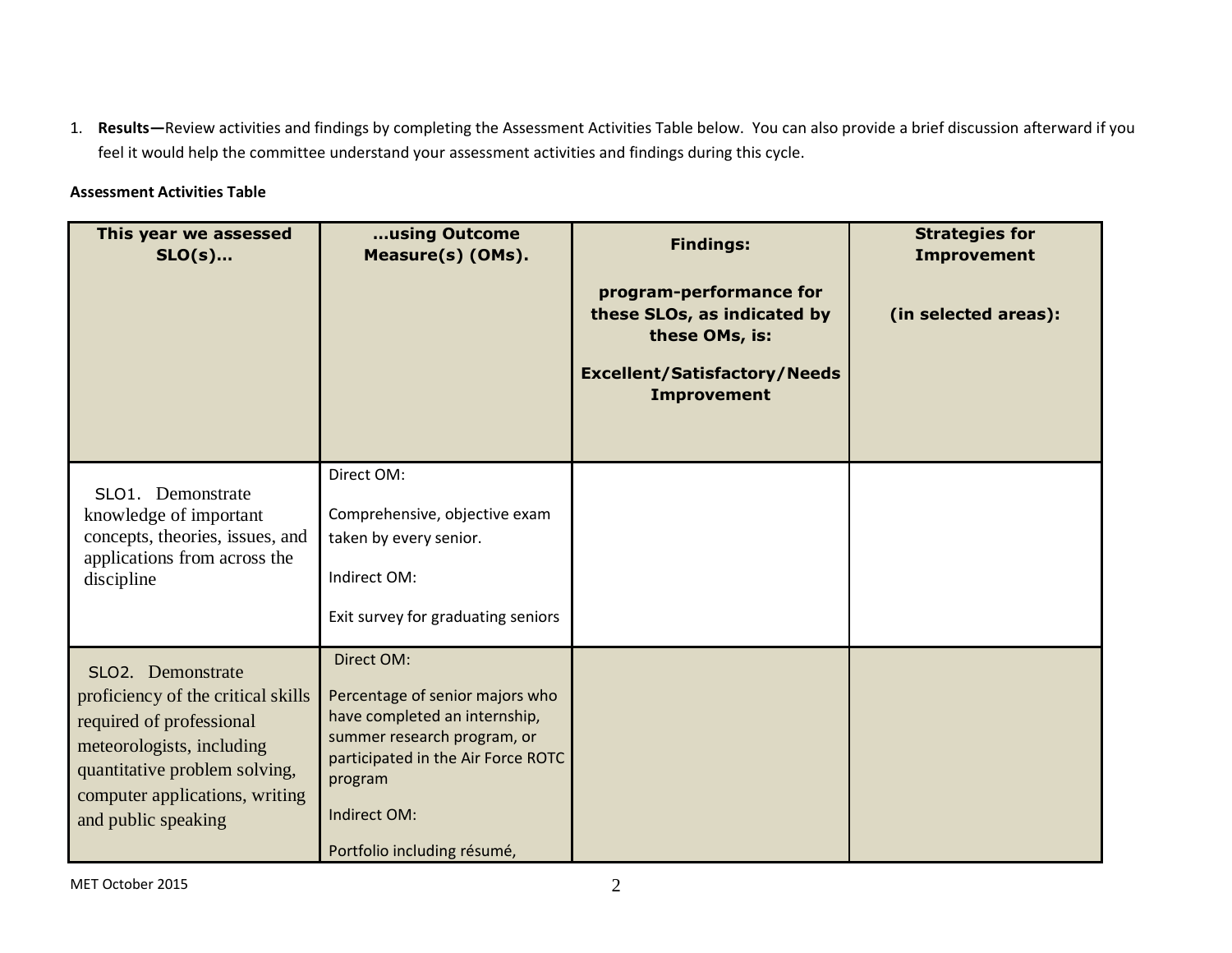1. **Results—**Review activities and findings by completing the Assessment Activities Table below. You can also provide a brief discussion afterward if you feel it would help the committee understand your assessment activities and findings during this cycle.

### **Assessment Activities Table**

| This year we assessed<br>$SLO(s)$                                                                                                                                                                          | using Outcome<br>Measure(s) (OMs).                                                                                                                                                                            | <b>Findings:</b><br>program-performance for<br>these SLOs, as indicated by<br>these OMs, is:<br><b>Excellent/Satisfactory/Needs</b><br><b>Improvement</b> | <b>Strategies for</b><br><b>Improvement</b><br>(in selected areas): |
|------------------------------------------------------------------------------------------------------------------------------------------------------------------------------------------------------------|---------------------------------------------------------------------------------------------------------------------------------------------------------------------------------------------------------------|-----------------------------------------------------------------------------------------------------------------------------------------------------------|---------------------------------------------------------------------|
| SLO1. Demonstrate<br>knowledge of important<br>concepts, theories, issues, and<br>applications from across the<br>discipline                                                                               | Direct OM:<br>Comprehensive, objective exam<br>taken by every senior.<br>Indirect OM:<br>Exit survey for graduating seniors                                                                                   |                                                                                                                                                           |                                                                     |
| SLO2. Demonstrate<br>proficiency of the critical skills<br>required of professional<br>meteorologists, including<br>quantitative problem solving,<br>computer applications, writing<br>and public speaking | Direct OM:<br>Percentage of senior majors who<br>have completed an internship,<br>summer research program, or<br>participated in the Air Force ROTC<br>program<br>Indirect OM:<br>Portfolio including résumé, |                                                                                                                                                           |                                                                     |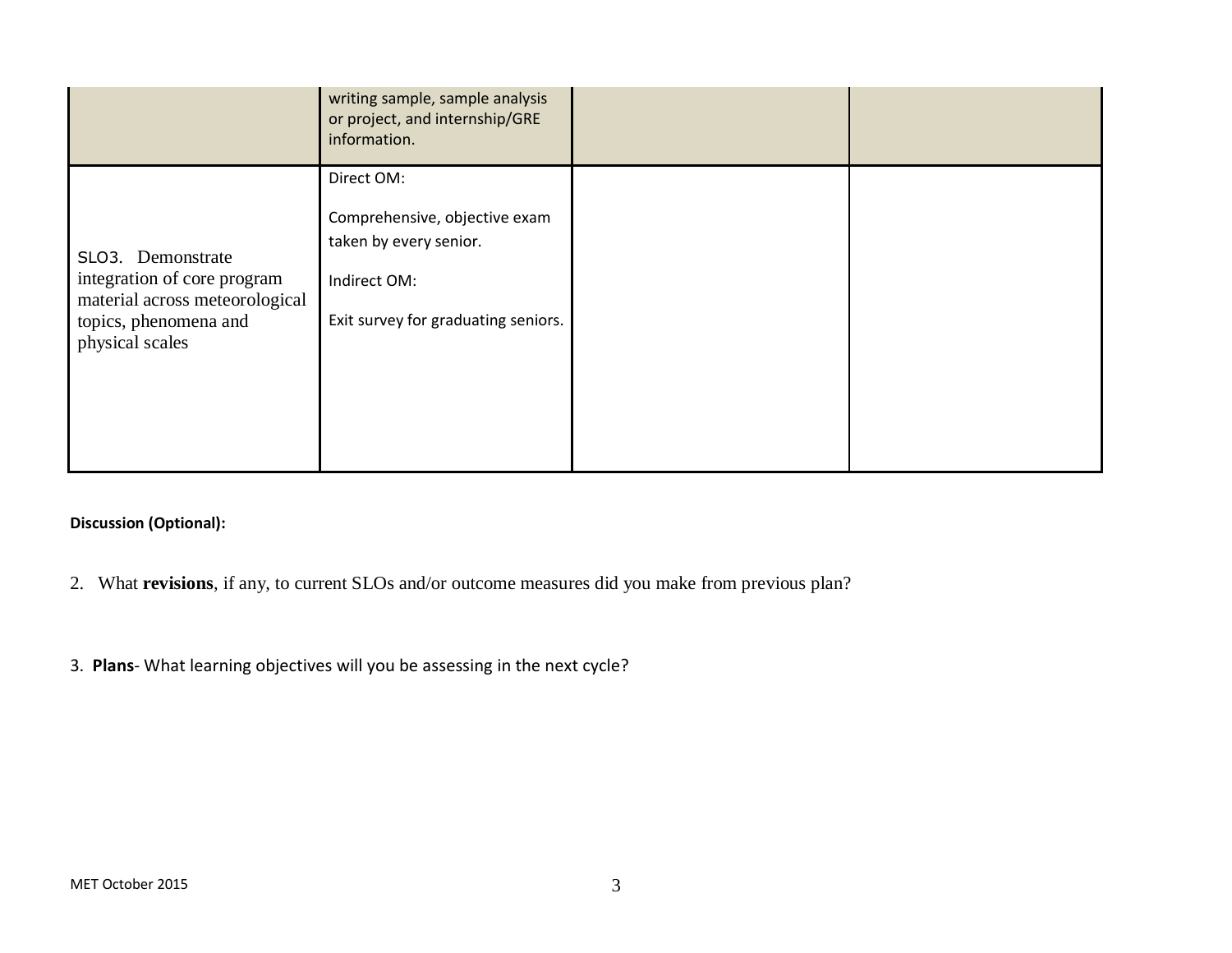|                                                                                                                                | writing sample, sample analysis<br>or project, and internship/GRE<br>information.                                            |  |
|--------------------------------------------------------------------------------------------------------------------------------|------------------------------------------------------------------------------------------------------------------------------|--|
| SLO3. Demonstrate<br>integration of core program<br>material across meteorological<br>topics, phenomena and<br>physical scales | Direct OM:<br>Comprehensive, objective exam<br>taken by every senior.<br>Indirect OM:<br>Exit survey for graduating seniors. |  |
|                                                                                                                                |                                                                                                                              |  |

## **Discussion (Optional):**

- 2. What **revisions**, if any, to current SLOs and/or outcome measures did you make from previous plan?
- 3. **Plans** What learning objectives will you be assessing in the next cycle?